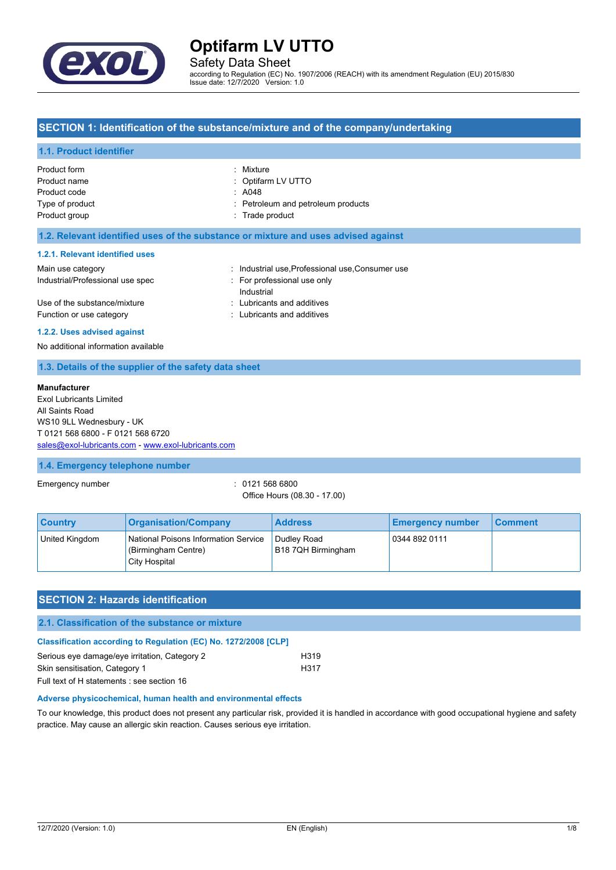

Safety Data Sheet

according to Regulation (EC) No. 1907/2006 (REACH) with its amendment Regulation (EU) 2015/830 Issue date: 12/7/2020 Version: 1.0

### **SECTION 1: Identification of the substance/mixture and of the company/undertaking**

#### **1.1. Product identifier**

| Product form    | : Mixture                          |
|-----------------|------------------------------------|
| Product name    | : Optifarm LV UTTO                 |
| Product code    | : A048                             |
| Type of product | : Petroleum and petroleum products |
| Product group   | : Trade product                    |
|                 |                                    |

#### **1.2. Relevant identified uses of the substance or mixture and uses advised against**

#### **1.2.1. Relevant identified uses**

| Main use category                | : Industrial use, Professional use, Consumer use |
|----------------------------------|--------------------------------------------------|
| Industrial/Professional use spec | For professional use only                        |
|                                  | Industrial                                       |
| Use of the substance/mixture     | : Lubricants and additives                       |
| Function or use category         | : Lubricants and additives                       |
|                                  |                                                  |

#### **1.2.2. Uses advised against**

No additional information available

# **1.3. Details of the supplier of the safety data sheet**

#### **Manufacturer**

Exol Lubricants Limited All Saints Road WS10 9LL Wednesbury - UK T 0121 568 6800 - F 0121 568 6720 [sales@exol-lubricants.com](mailto:sales@exol-lubricants.com) - <www.exol-lubricants.com>

## **1.4. Emergency telephone number**

Emergency number : 0121 568 6800

Office Hours (08.30 - 17.00)

| <b>Country</b> | <b>Organisation/Company</b>                                                  | <b>Address</b>                    | <b>Emergency number</b> | <b>Comment</b> |
|----------------|------------------------------------------------------------------------------|-----------------------------------|-------------------------|----------------|
| United Kingdom | National Poisons Information Service<br>(Birmingham Centre)<br>City Hospital | Dudlev Road<br>B18 7QH Birmingham | 0344 892 0111           |                |

| <b>SECTION 2: Hazards identification</b>                               |      |  |
|------------------------------------------------------------------------|------|--|
| 2.1. Classification of the substance or mixture                        |      |  |
| <b>Classification according to Regulation (EC) No. 1272/2008 [CLP]</b> |      |  |
| Serious eye damage/eye irritation, Category 2                          | H319 |  |
| Skin sensitisation, Category 1                                         | H317 |  |
| Full text of H statements : see section 16                             |      |  |

#### **Adverse physicochemical, human health and environmental effects**

To our knowledge, this product does not present any particular risk, provided it is handled in accordance with good occupational hygiene and safety practice. May cause an allergic skin reaction. Causes serious eye irritation.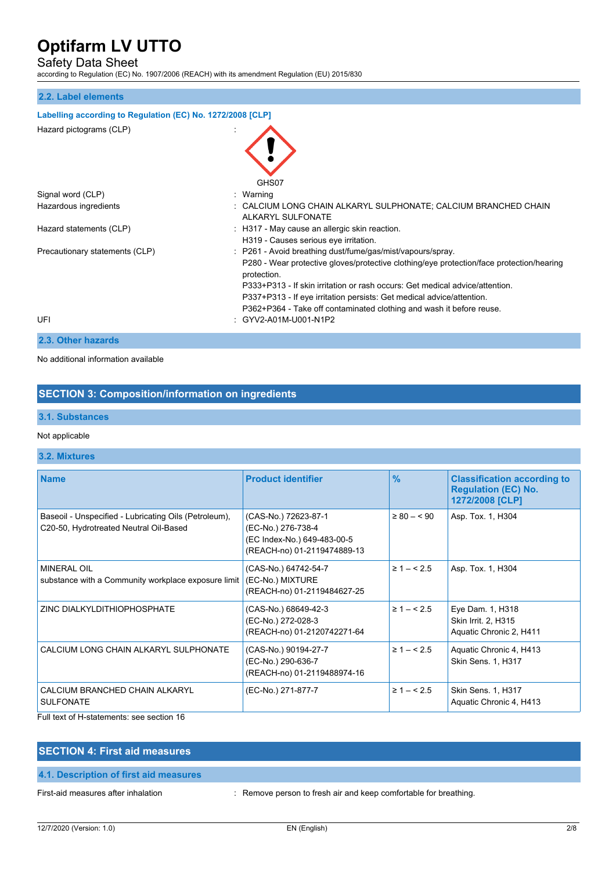# Safety Data Sheet

according to Regulation (EC) No. 1907/2006 (REACH) with its amendment Regulation (EU) 2015/830

## **2.2. Label elements**

| Labelling according to Regulation (EC) No. 1272/2008 [CLP] |                                                                                                                                                                                                                                                                                                                                                                                                        |
|------------------------------------------------------------|--------------------------------------------------------------------------------------------------------------------------------------------------------------------------------------------------------------------------------------------------------------------------------------------------------------------------------------------------------------------------------------------------------|
| Hazard pictograms (CLP)                                    |                                                                                                                                                                                                                                                                                                                                                                                                        |
| Signal word (CLP)                                          | GHS07<br>: Warning                                                                                                                                                                                                                                                                                                                                                                                     |
| Hazardous ingredients                                      | : CALCIUM LONG CHAIN ALKARYL SULPHONATE; CALCIUM BRANCHED CHAIN<br>ALKARYL SULFONATE                                                                                                                                                                                                                                                                                                                   |
| Hazard statements (CLP)                                    | : H317 - May cause an allergic skin reaction.<br>H319 - Causes serious eye irritation.                                                                                                                                                                                                                                                                                                                 |
| Precautionary statements (CLP)                             | : P261 - Avoid breathing dust/fume/gas/mist/vapours/spray.<br>P280 - Wear protective gloves/protective clothing/eye protection/face protection/hearing<br>protection.<br>P333+P313 - If skin irritation or rash occurs: Get medical advice/attention.<br>P337+P313 - If eye irritation persists: Get medical advice/attention.<br>P362+P364 - Take off contaminated clothing and wash it before reuse. |
| UFI                                                        | : GYV2-A01M-U001-N1P2                                                                                                                                                                                                                                                                                                                                                                                  |
|                                                            |                                                                                                                                                                                                                                                                                                                                                                                                        |

#### **2.3. Other hazards**

No additional information available

## **SECTION 3: Composition/information on ingredients**

#### **3.1. Substances**

### Not applicable

### **3.2. Mixtures**

| <b>Name</b>                                                                                     | <b>Product identifier</b>                                                                                | $\frac{9}{6}$  | <b>Classification according to</b><br><b>Regulation (EC) No.</b><br>1272/2008 [CLP] |
|-------------------------------------------------------------------------------------------------|----------------------------------------------------------------------------------------------------------|----------------|-------------------------------------------------------------------------------------|
| Baseoil - Unspecified - Lubricating Oils (Petroleum),<br>C20-50, Hydrotreated Neutral Oil-Based | (CAS-No.) 72623-87-1<br>(EC-No.) 276-738-4<br>(EC Index-No.) 649-483-00-5<br>(REACH-no) 01-2119474889-13 | $\geq 80 - 50$ | Asp. Tox. 1, H304                                                                   |
| <b>MINERAL OIL</b><br>substance with a Community workplace exposure limit                       | (CAS-No.) 64742-54-7<br>(EC-No.) MIXTURE<br>(REACH-no) 01-2119484627-25                                  | $\geq 1 - 5.5$ | Asp. Tox. 1, H304                                                                   |
| ZINC DIALKYLDITHIOPHOSPHATE                                                                     | (CAS-No.) 68649-42-3<br>(EC-No.) 272-028-3<br>(REACH-no) 01-2120742271-64                                | $\geq 1 - 5.5$ | Eye Dam. 1, H318<br>Skin Irrit. 2, H315<br>Aquatic Chronic 2, H411                  |
| CALCIUM LONG CHAIN ALKARYL SULPHONATE                                                           | (CAS-No.) 90194-27-7<br>(EC-No.) 290-636-7<br>(REACH-no) 01-2119488974-16                                | $\geq 1 - 5.5$ | Aquatic Chronic 4, H413<br>Skin Sens. 1, H317                                       |
| CALCIUM BRANCHED CHAIN ALKARYL<br><b>SULFONATE</b>                                              | (EC-No.) 271-877-7                                                                                       | $\geq 1 - 5.5$ | Skin Sens. 1, H317<br>Aquatic Chronic 4, H413                                       |
| Full text of H-statements: see section 16                                                       |                                                                                                          |                |                                                                                     |

# **SECTION 4: First aid measures**

## **4.1. Description of first aid measures**

First-aid measures after inhalation : Remove person to fresh air and keep comfortable for breathing.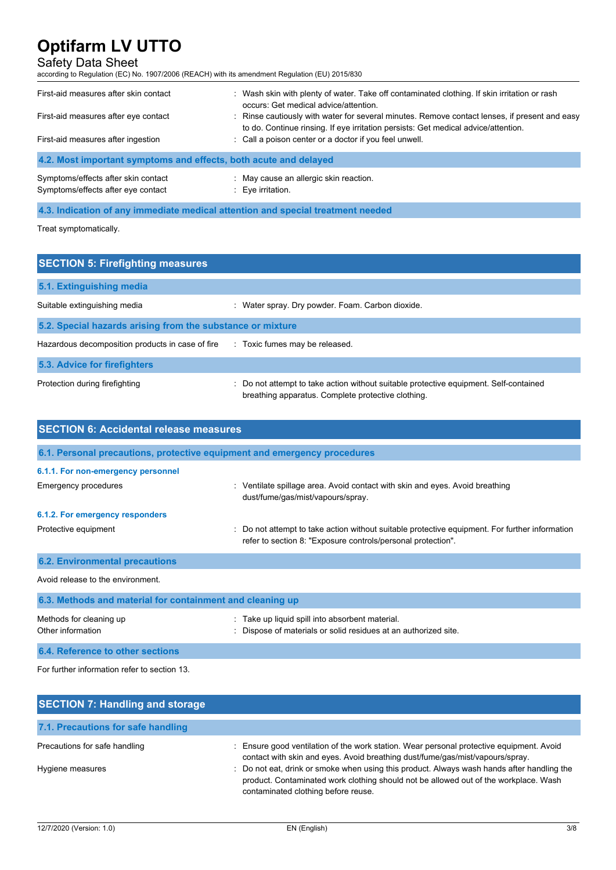# Safety Data Sheet

| according to Regulation (EC) No. 1907/2006 (REACH) with its amendment Regulation (EU) 2015/830 |                                                                                                                                                                                     |
|------------------------------------------------------------------------------------------------|-------------------------------------------------------------------------------------------------------------------------------------------------------------------------------------|
| First-aid measures after skin contact                                                          | Wash skin with plenty of water. Take off contaminated clothing. If skin irritation or rash<br>occurs: Get medical advice/attention.                                                 |
| First-aid measures after eye contact                                                           | : Rinse cautiously with water for several minutes. Remove contact lenses, if present and easy<br>to do. Continue rinsing. If eye irritation persists: Get medical advice/attention. |
| First-aid measures after ingestion                                                             | : Call a poison center or a doctor if you feel unwell.                                                                                                                              |
| 4.2. Most important symptoms and effects, both acute and delayed                               |                                                                                                                                                                                     |
| Symptoms/effects after skin contact<br>Symptoms/effects after eye contact                      | : May cause an allergic skin reaction.<br>$\therefore$ Eye irritation.                                                                                                              |

# **4.3. Indication of any immediate medical attention and special treatment needed**

Treat symptomatically.

| <b>SECTION 5: Firefighting measures</b>                    |                                                                                                                                           |
|------------------------------------------------------------|-------------------------------------------------------------------------------------------------------------------------------------------|
| 5.1. Extinguishing media                                   |                                                                                                                                           |
| Suitable extinguishing media                               | : Water spray. Dry powder. Foam. Carbon dioxide.                                                                                          |
| 5.2. Special hazards arising from the substance or mixture |                                                                                                                                           |
| Hazardous decomposition products in case of fire           | : Toxic fumes may be released.                                                                                                            |
| 5.3. Advice for firefighters                               |                                                                                                                                           |
| Protection during firefighting                             | Do not attempt to take action without suitable protective equipment. Self-contained<br>breathing apparatus. Complete protective clothing. |

| <b>SECTION 6: Accidental release measures</b>                            |                                                                                                                                                                |  |  |
|--------------------------------------------------------------------------|----------------------------------------------------------------------------------------------------------------------------------------------------------------|--|--|
| 6.1. Personal precautions, protective equipment and emergency procedures |                                                                                                                                                                |  |  |
| 6.1.1. For non-emergency personnel                                       |                                                                                                                                                                |  |  |
| <b>Emergency procedures</b>                                              | : Ventilate spillage area. Avoid contact with skin and eyes. Avoid breathing<br>dust/fume/gas/mist/vapours/spray.                                              |  |  |
| 6.1.2. For emergency responders                                          |                                                                                                                                                                |  |  |
| Protective equipment                                                     | : Do not attempt to take action without suitable protective equipment. For further information<br>refer to section 8: "Exposure controls/personal protection". |  |  |
| <b>6.2. Environmental precautions</b>                                    |                                                                                                                                                                |  |  |
| Avoid release to the environment.                                        |                                                                                                                                                                |  |  |
| 6.3. Methods and material for containment and cleaning up                |                                                                                                                                                                |  |  |
| Methods for cleaning up<br>Other information                             | Take up liquid spill into absorbent material.<br>Dispose of materials or solid residues at an authorized site.                                                 |  |  |
| 6.4. Reference to other sections                                         |                                                                                                                                                                |  |  |
|                                                                          |                                                                                                                                                                |  |  |

For further information refer to section 13.

| <b>SECTION 7: Handling and storage</b> |                                                                                                                                                                                                                           |
|----------------------------------------|---------------------------------------------------------------------------------------------------------------------------------------------------------------------------------------------------------------------------|
| 7.1. Precautions for safe handling     |                                                                                                                                                                                                                           |
| Precautions for safe handling          | : Ensure good ventilation of the work station. Wear personal protective equipment. Avoid<br>contact with skin and eyes. Avoid breathing dust/fume/gas/mist/vapours/spray.                                                 |
| Hygiene measures                       | : Do not eat, drink or smoke when using this product. Always wash hands after handling the<br>product. Contaminated work clothing should not be allowed out of the workplace. Wash<br>contaminated clothing before reuse. |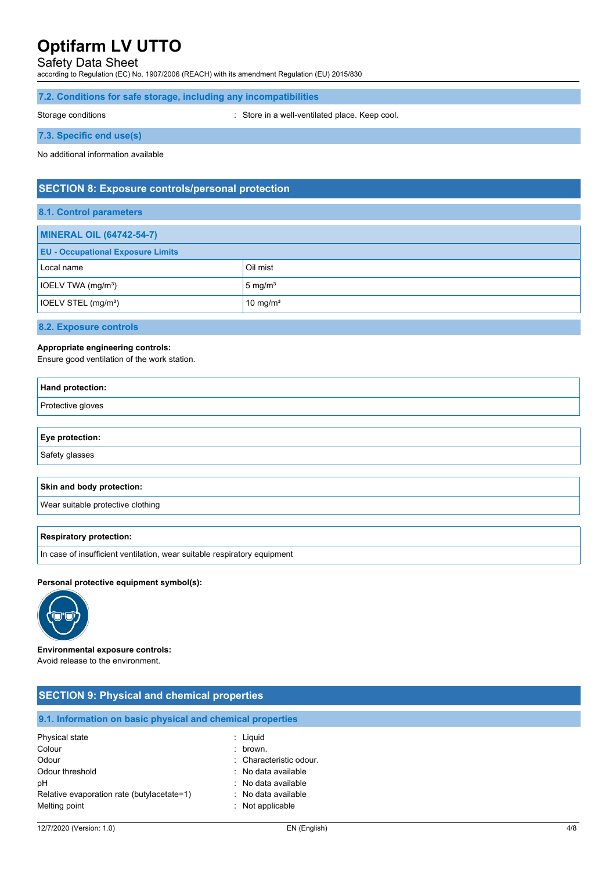## Safety Data Sheet

according to Regulation (EC) No. 1907/2006 (REACH) with its amendment Regulation (EU) 2015/830

### **7.2. Conditions for safe storage, including any incompatibilities**

Storage conditions **Storage conditions** : Store in a well-ventilated place. Keep cool.

**7.3. Specific end use(s)**

No additional information available

## **SECTION 8: Exposure controls/personal protection**

### **8.1. Control parameters**

| <b>MINERAL OIL (64742-54-7)</b>          |                      |  |
|------------------------------------------|----------------------|--|
| <b>EU - Occupational Exposure Limits</b> |                      |  |
| Local name                               | Oil mist             |  |
| $\vert$ IOELV TWA (mg/m <sup>3</sup> )   | $5 \text{ mg/m}^3$   |  |
| $\vert$ IOELV STEL (mg/m <sup>3</sup> )  | 10 mg/m <sup>3</sup> |  |

#### **8.2. Exposure controls**

### **Appropriate engineering controls:**

Ensure good ventilation of the work station.

| <b>Hand protection:</b>           |
|-----------------------------------|
| Protective gloves                 |
|                                   |
| Eye protection:                   |
| Safety glasses                    |
|                                   |
| <b>Skin and body protection:</b>  |
| Wear suitable protective clothing |
|                                   |
| <b>Respiratory protection:</b>    |

In case of insufficient ventilation, wear suitable respiratory equipment

#### **Personal protective equipment symbol(s):**



**Environmental exposure controls:** Avoid release to the environment.

| <b>SECTION 9: Physical and chemical properties</b>         |                         |  |
|------------------------------------------------------------|-------------------------|--|
| 9.1. Information on basic physical and chemical properties |                         |  |
| Physical state                                             | $:$ Liquid              |  |
| Colour                                                     | $:$ brown.              |  |
| Odour                                                      | : Characteristic odour. |  |
| Odour threshold                                            | : No data available     |  |
| pH                                                         | : No data available     |  |
| Relative evaporation rate (butylacetate=1)                 | : No data available     |  |
| Melting point                                              | : Not applicable        |  |
|                                                            |                         |  |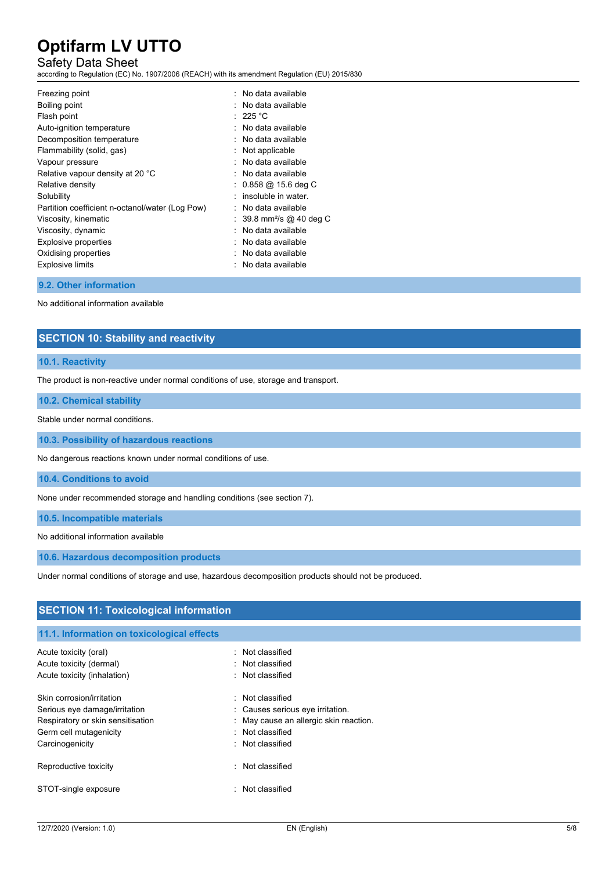## Safety Data Sheet

according to Regulation (EC) No. 1907/2006 (REACH) with its amendment Regulation (EU) 2015/830

| Freezing point                                  | No data available                        |
|-------------------------------------------------|------------------------------------------|
| Boiling point                                   | : No data available                      |
| Flash point                                     | : 225 °C                                 |
| Auto-ignition temperature                       | No data available                        |
| Decomposition temperature                       | : No data available                      |
| Flammability (solid, gas)                       | $:$ Not applicable                       |
| Vapour pressure                                 | No data available                        |
| Relative vapour density at 20 °C                | : No data available                      |
| Relative density                                | $: 0.858 \text{ @ } 15.6 \text{ deg } C$ |
| Solubility                                      | insoluble in water                       |
| Partition coefficient n-octanol/water (Log Pow) | : No data available                      |
| Viscosity, kinematic                            | : 39.8 mm <sup>2</sup> /s @ 40 deg C     |
| Viscosity, dynamic                              | : No data available                      |
| <b>Explosive properties</b>                     | No data available                        |
| Oxidising properties                            | : No data available                      |
| <b>Explosive limits</b>                         | No data available                        |
|                                                 |                                          |

#### **9.2. Other information**

No additional information available

# **SECTION 10: Stability and reactivity**

#### **10.1. Reactivity**

The product is non-reactive under normal conditions of use, storage and transport.

## **10.2. Chemical stability**

Stable under normal conditions.

**10.3. Possibility of hazardous reactions**

No dangerous reactions known under normal conditions of use.

**10.4. Conditions to avoid**

None under recommended storage and handling conditions (see section 7).

**10.5. Incompatible materials**

No additional information available

**10.6. Hazardous decomposition products**

Under normal conditions of storage and use, hazardous decomposition products should not be produced.

## **SECTION 11: Toxicological information**

### **11.1. Information on toxicological effects**

| Acute toxicity (oral)             | . Not classified                       |
|-----------------------------------|----------------------------------------|
| Acute toxicity (dermal)           | : Not classified                       |
| Acute toxicity (inhalation)       | : Not classified                       |
| Skin corrosion/irritation         | : Not classified                       |
| Serious eye damage/irritation     | : Causes serious eye irritation.       |
| Respiratory or skin sensitisation | : May cause an allergic skin reaction. |
| Germ cell mutagenicity            | : Not classified                       |
| Carcinogenicity                   | : Not classified                       |
| Reproductive toxicity             | : Not classified                       |
| STOT-single exposure              | : Not classified                       |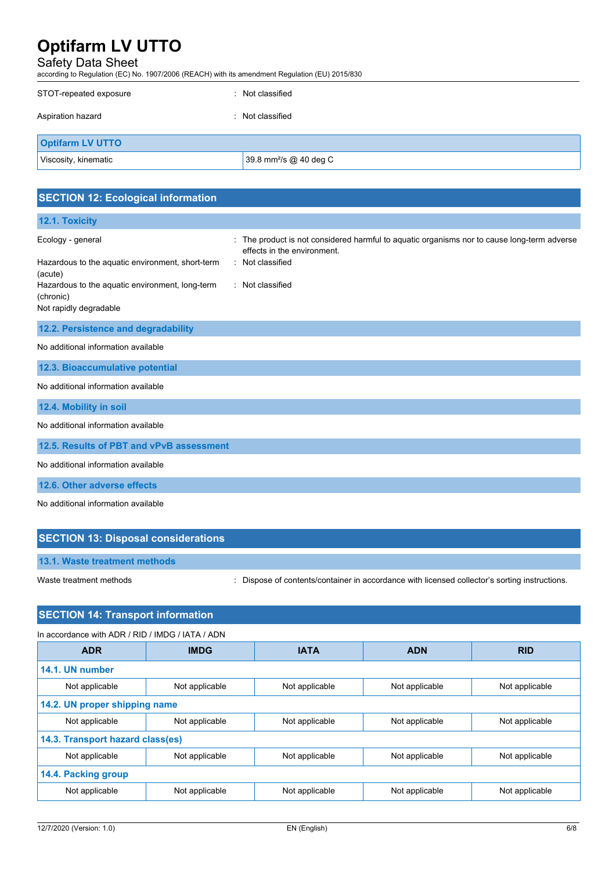# Safety Data Sheet

according to Regulation (EC) No. 1907/2006 (REACH) with its amendment Regulation (EU) 2015/830

| STOT-repeated exposure  | : Not classified                   |
|-------------------------|------------------------------------|
| Aspiration hazard       | : Not classified                   |
| <b>Optifarm LV UTTO</b> |                                    |
| Viscosity, kinematic    | 39.8 mm <sup>2</sup> /s @ 40 deg C |

| <b>SECTION 12: Ecological information</b>                                              |                                                                                                                            |
|----------------------------------------------------------------------------------------|----------------------------------------------------------------------------------------------------------------------------|
| 12.1. Toxicity                                                                         |                                                                                                                            |
| Ecology - general                                                                      | : The product is not considered harmful to aquatic organisms nor to cause long-term adverse<br>effects in the environment. |
| Hazardous to the aquatic environment, short-term<br>(acute)                            | : Not classified                                                                                                           |
| Hazardous to the aquatic environment, long-term<br>(chronic)<br>Not rapidly degradable | : Not classified                                                                                                           |
|                                                                                        |                                                                                                                            |
| 12.2. Persistence and degradability                                                    |                                                                                                                            |
| No additional information available                                                    |                                                                                                                            |
| 12.3. Bioaccumulative potential                                                        |                                                                                                                            |
| No additional information available                                                    |                                                                                                                            |
| 12.4. Mobility in soil                                                                 |                                                                                                                            |
| No additional information available                                                    |                                                                                                                            |
| 12.5. Results of PBT and vPvB assessment                                               |                                                                                                                            |
| No additional information available                                                    |                                                                                                                            |
| 12.6. Other adverse effects                                                            |                                                                                                                            |
| No additional information available                                                    |                                                                                                                            |
| <b>SECTION 13: Disposal considerations</b>                                             |                                                                                                                            |
| 13.1. Waste treatment methods                                                          |                                                                                                                            |
| Waste treatment methods                                                                | : Dispose of contents/container in accordance with licensed collector's sorting instructions.                              |

# **SECTION 14: Transport information**

| In accordance with ADR / RID / IMDG / IATA / ADN |                |                |                |                |
|--------------------------------------------------|----------------|----------------|----------------|----------------|
| <b>ADR</b>                                       | <b>IMDG</b>    | <b>IATA</b>    | <b>ADN</b>     | <b>RID</b>     |
| 14.1. UN number                                  |                |                |                |                |
| Not applicable                                   | Not applicable | Not applicable | Not applicable | Not applicable |
| 14.2. UN proper shipping name                    |                |                |                |                |
| Not applicable                                   | Not applicable | Not applicable | Not applicable | Not applicable |
| 14.3. Transport hazard class(es)                 |                |                |                |                |
| Not applicable                                   | Not applicable | Not applicable | Not applicable | Not applicable |
| 14.4. Packing group                              |                |                |                |                |
| Not applicable                                   | Not applicable | Not applicable | Not applicable | Not applicable |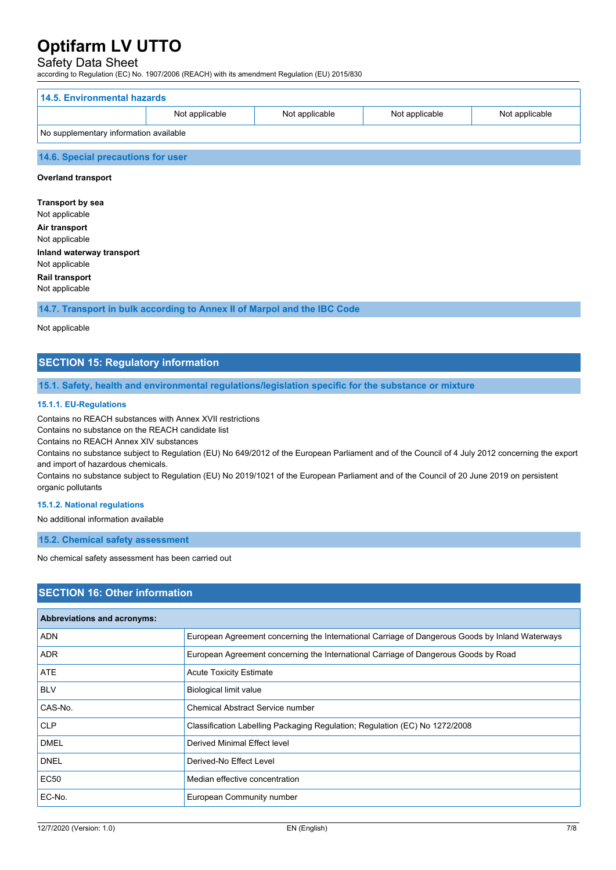# Safety Data Sheet

according to Regulation (EC) No. 1907/2006 (REACH) with its amendment Regulation (EU) 2015/830

| 14.5. Environmental hazards                                          |  |  |  |
|----------------------------------------------------------------------|--|--|--|
| Not applicable<br>Not applicable<br>Not applicable<br>Not applicable |  |  |  |
| No supplementary information available                               |  |  |  |
| 14.6. Special precautions for user                                   |  |  |  |

#### **Overland transport**

**Transport by sea** Not applicable **Air transport** Not applicable **Inland waterway transport** Not applicable

**Rail transport**

Not applicable

**14.7. Transport in bulk according to Annex II of Marpol and the IBC Code**

#### Not applicable

## **SECTION 15: Regulatory information**

#### **15.1. Safety, health and environmental regulations/legislation specific for the substance or mixture**

#### **15.1.1. EU-Regulations**

Contains no REACH substances with Annex XVII restrictions

Contains no substance on the REACH candidate list

Contains no REACH Annex XIV substances

Contains no substance subject to Regulation (EU) No 649/2012 of the European Parliament and of the Council of 4 July 2012 concerning the export and import of hazardous chemicals.

Contains no substance subject to Regulation (EU) No 2019/1021 of the European Parliament and of the Council of 20 June 2019 on persistent organic pollutants

#### **15.1.2. National regulations**

No additional information available

**15.2. Chemical safety assessment**

No chemical safety assessment has been carried out

## **SECTION 16: Other information**

| <b>Abbreviations and acronyms:</b> |                                                                                                 |
|------------------------------------|-------------------------------------------------------------------------------------------------|
| <b>ADN</b>                         | European Agreement concerning the International Carriage of Dangerous Goods by Inland Waterways |
| ADR.                               | European Agreement concerning the International Carriage of Dangerous Goods by Road             |
| ATE                                | <b>Acute Toxicity Estimate</b>                                                                  |
| <b>BLV</b>                         | Biological limit value                                                                          |
| CAS-No.                            | <b>Chemical Abstract Service number</b>                                                         |
| <b>CLP</b>                         | Classification Labelling Packaging Regulation; Regulation (EC) No 1272/2008                     |
| <b>DMEL</b>                        | Derived Minimal Effect level                                                                    |
| <b>DNEL</b>                        | Derived-No Effect Level                                                                         |
| EC50                               | Median effective concentration                                                                  |
| EC-No.                             | European Community number                                                                       |